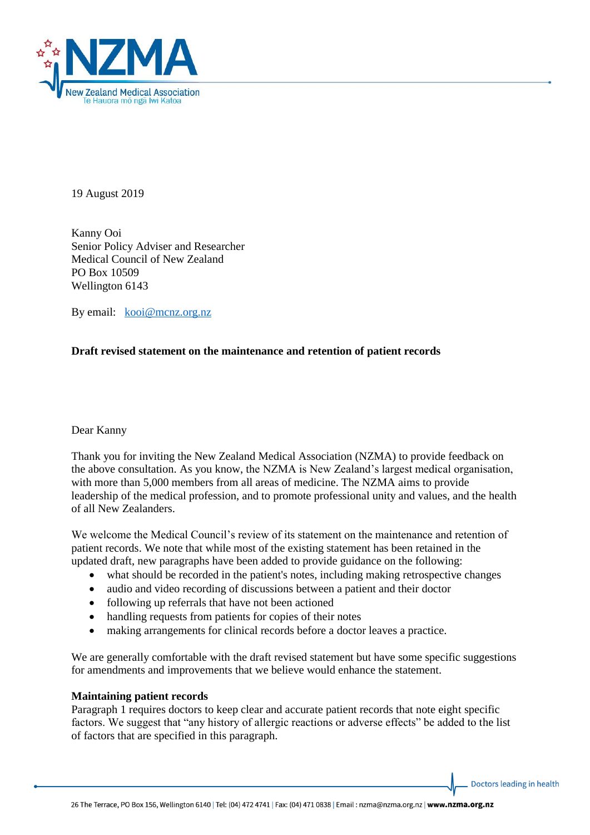

19 August 2019

Kanny Ooi Senior Policy Adviser and Researcher Medical Council of New Zealand PO Box 10509 Wellington 6143

By email: [kooi@m](mailto:kooi@)cnz.org.nz

# **Draft revised statement on the maintenance and retention of patient records**

Dear Kanny

Thank you for inviting the New Zealand Medical Association (NZMA) to provide feedback on the above consultation. As you know, the NZMA is New Zealand's largest medical organisation, with more than 5,000 members from all areas of medicine. The NZMA aims to provide leadership of the medical profession, and to promote professional unity and values, and the health of all New Zealanders.

We welcome the Medical Council's review of its statement on the maintenance and retention of patient records. We note that while most of the existing statement has been retained in the updated draft, new paragraphs have been added to provide guidance on the following:

- what should be recorded in the patient's notes, including making retrospective changes
- audio and video recording of discussions between a patient and their doctor
- following up referrals that have not been actioned
- handling requests from patients for copies of their notes
- making arrangements for clinical records before a doctor leaves a practice.

We are generally comfortable with the draft revised statement but have some specific suggestions for amendments and improvements that we believe would enhance the statement.

#### **Maintaining patient records**

Paragraph 1 requires doctors to keep clear and accurate patient records that note eight specific factors. We suggest that "any history of allergic reactions or adverse effects" be added to the list of factors that are specified in this paragraph.

Doctors leading in health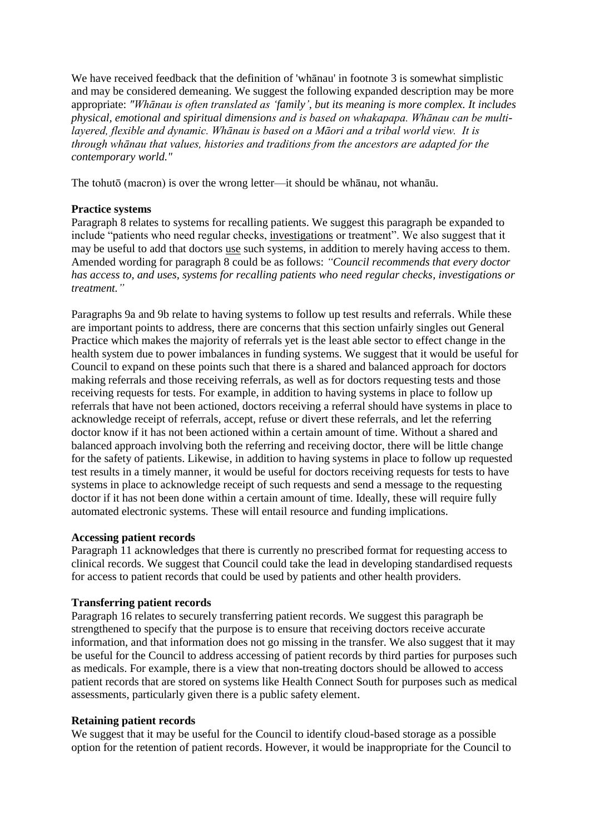We have received feedback that the definition of 'whanau' in footnote 3 is somewhat simplistic and may be considered demeaning. We suggest the following expanded description may be more appropriate: *"Whānau is often translated as 'family', but its meaning is more complex. It includes physical, emotional and spiritual dimensions and is based on whakapapa. Whānau can be multilayered, flexible and dynamic. Whānau is based on a Māori and a tribal world view. It is through whānau that values, histories and traditions from the ancestors are adapted for the contemporary world."*

The tohutō (macron) is over the wrong letter—it should be whānau, not whanāu.

### **Practice systems**

Paragraph 8 relates to systems for recalling patients. We suggest this paragraph be expanded to include "patients who need regular checks, investigations or treatment". We also suggest that it may be useful to add that doctors use such systems, in addition to merely having access to them. Amended wording for paragraph 8 could be as follows: *"Council recommends that every doctor has access to, and uses, systems for recalling patients who need regular checks, investigations or treatment."*

Paragraphs 9a and 9b relate to having systems to follow up test results and referrals. While these are important points to address, there are concerns that this section unfairly singles out General Practice which makes the majority of referrals yet is the least able sector to effect change in the health system due to power imbalances in funding systems. We suggest that it would be useful for Council to expand on these points such that there is a shared and balanced approach for doctors making referrals and those receiving referrals, as well as for doctors requesting tests and those receiving requests for tests. For example, in addition to having systems in place to follow up referrals that have not been actioned, doctors receiving a referral should have systems in place to acknowledge receipt of referrals, accept, refuse or divert these referrals, and let the referring doctor know if it has not been actioned within a certain amount of time. Without a shared and balanced approach involving both the referring and receiving doctor, there will be little change for the safety of patients. Likewise, in addition to having systems in place to follow up requested test results in a timely manner, it would be useful for doctors receiving requests for tests to have systems in place to acknowledge receipt of such requests and send a message to the requesting doctor if it has not been done within a certain amount of time. Ideally, these will require fully automated electronic systems. These will entail resource and funding implications.

## **Accessing patient records**

Paragraph 11 acknowledges that there is currently no prescribed format for requesting access to clinical records. We suggest that Council could take the lead in developing standardised requests for access to patient records that could be used by patients and other health providers.

## **Transferring patient records**

Paragraph 16 relates to securely transferring patient records. We suggest this paragraph be strengthened to specify that the purpose is to ensure that receiving doctors receive accurate information, and that information does not go missing in the transfer. We also suggest that it may be useful for the Council to address accessing of patient records by third parties for purposes such as medicals. For example, there is a view that non-treating doctors should be allowed to access patient records that are stored on systems like Health Connect South for purposes such as medical assessments, particularly given there is a public safety element.

#### **Retaining patient records**

We suggest that it may be useful for the Council to identify cloud-based storage as a possible option for the retention of patient records. However, it would be inappropriate for the Council to